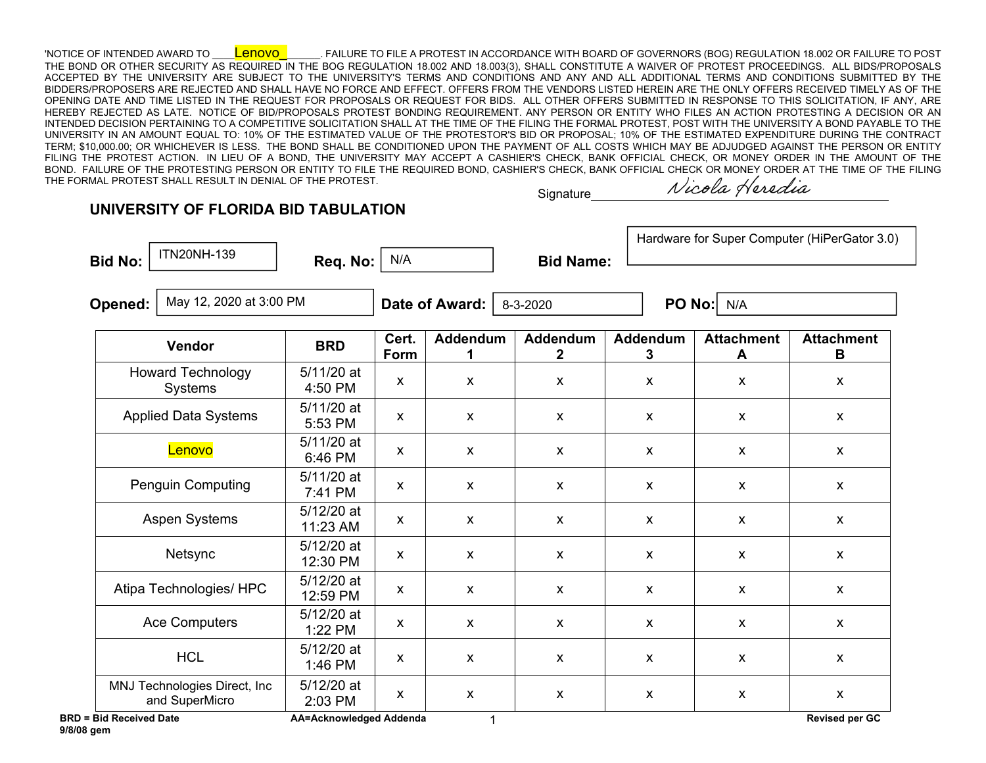'NOTICE OF INTENDED AWARD TO \_\_\_\_Lenovo\_\_\_\_\_\_\_. FAILURE TO FILE A PROTEST IN ACCORDANCE WITH BOARD OF GOVERNORS (BOG) REGULATION 18.002 OR FAILURE TO POST THE BOND OR OTHER SECURITY AS REQUIRED IN THE BOG REGULATION 18.002 AND 18.003(3), SHALL CONSTITUTE A WAIVER OF PROTEST PROCEEDINGS. ALL BIDS/PROPOSALS ACCEPTED BY THE UNIVERSITY ARE SUBJECT TO THE UNIVERSITY'S TERMS AND CONDITIONS AND ANY AND ALL ADDITIONAL TERMS AND CONDITIONS SUBMITTED BY THE BIDDERS/PROPOSERS ARE REJECTED AND SHALL HAVE NO FORCE AND EFFECT. OFFERS FROM THE VENDORS LISTED HEREIN ARE THE ONLY OFFERS RECEIVED TIMELY AS OF THE OPENING DATE AND TIME LISTED IN THE REQUEST FOR PROPOSALS OR REQUEST FOR BIDS. ALL OTHER OFFERS SUBMITTED IN RESPONSE TO THIS SOLICITATION, IF ANY, ARE HEREBY REJECTED AS LATE. NOTICE OF BID/PROPOSALS PROTEST BONDING REQUIREMENT. ANY PERSON OR ENTITY WHO FILES AN ACTION PROTESTING A DECISION OR AN INTENDED DECISION PERTAINING TO A COMPETITIVE SOLICITATION SHALL AT THE TIME OF THE FILING THE FORMAL PROTEST, POST WITH THE UNIVERSITY A BOND PAYABLE TO THE UNIVERSITY IN AN AMOUNT EQUAL TO: 10% OF THE ESTIMATED VALUE OF THE PROTESTOR'S BID OR PROPOSAL; 10% OF THE ESTIMATED EXPENDITURE DURING THE CONTRACT TERM; \$10,000.00; OR WHICHEVER IS LESS. THE BOND SHALL BE CONDITIONED UPON THE PAYMENT OF ALL COSTS WHICH MAY BE ADJUDGED AGAINST THE PERSON OR ENTITY FILING THE PROTEST ACTION. IN LIEU OF A BOND, THE UNIVERSITY MAY ACCEPT A CASHIER'S CHECK, BANK OFFICIAL CHECK, OR MONEY ORDER IN THE AMOUNT OF THE BOND. FAILURE OF THE PROTESTING PERSON OR ENTITY TO FILE THE REQUIRED BOND, CASHIER'S CHECK, BANK OFFICIAL CHECK OR MONEY ORDER AT THE TIME OF THE FILING THE FORMAL PROTEST SHALL RESULT IN DENIAL OF THE PROTEST.

**Signature** 

Nicola Heredia

## **UNIVERSITY OF FLORIDA BID TABULATION**

 $ITN20NH-139$  Req. No:  $N/A$ 

Bid No: and No: and Name: **Req. No: And Name: Bid Name: Bid Name:** 

Hardware for Super Computer (HiPerGator 3.0)

**Opened: │ <sup>May 12, 2020 at 3:00 PM │ Date of Award: │** 8-3-2020 │ **PO No:**│ N/A</sup>

| Vendor                                         | <b>BRD</b>              | Cert.<br>Form | <b>Addendum</b>           | <b>Addendum</b><br>$\mathbf{2}$ | <b>Addendum</b><br>3      | <b>Attachment</b><br>A | <b>Attachment</b><br>B    |
|------------------------------------------------|-------------------------|---------------|---------------------------|---------------------------------|---------------------------|------------------------|---------------------------|
| <b>Howard Technology</b><br>Systems            | 5/11/20 at<br>4:50 PM   | X             | X                         | $\boldsymbol{\mathsf{x}}$       | X                         | X                      | $\pmb{\mathsf{X}}$        |
| <b>Applied Data Systems</b>                    | 5/11/20 at<br>5:53 PM   | X             | $\mathsf{x}$              | $\mathsf{x}$                    | $\boldsymbol{\mathsf{x}}$ | X                      | X                         |
| Lenovo                                         | 5/11/20 at<br>6:46 PM   | X             | $\mathsf{x}$              | $\mathsf{x}$                    | $\mathsf{x}$              | $\mathsf{x}$           | $\boldsymbol{\mathsf{x}}$ |
| <b>Penguin Computing</b>                       | 5/11/20 at<br>7:41 PM   | X             | $\mathsf{x}$              | $\mathsf{x}$                    | $\mathsf{x}$              | X                      | $\pmb{\mathsf{X}}$        |
| <b>Aspen Systems</b>                           | 5/12/20 at<br>11:23 AM  | X             | X                         | $\boldsymbol{\mathsf{x}}$       | $\boldsymbol{\mathsf{x}}$ | X                      | $\boldsymbol{\mathsf{X}}$ |
| Netsync                                        | 5/12/20 at<br>12:30 PM  | X             | $\mathsf{x}$              | $\mathsf{x}$                    | $\mathsf{x}$              | X                      | $\pmb{\mathsf{X}}$        |
| Atipa Technologies/ HPC                        | 5/12/20 at<br>12:59 PM  | X             | $\mathsf{x}$              | $\mathsf{x}$                    | $\mathsf{x}$              | $\mathsf{x}$           | $\mathsf{x}$              |
| <b>Ace Computers</b>                           | 5/12/20 at<br>1:22 PM   | X             | $\mathsf{x}$              | $\mathsf{x}$                    | $\mathsf{x}$              | X                      | $\mathsf{x}$              |
| <b>HCL</b>                                     | 5/12/20 at<br>1:46 PM   | X             | $\boldsymbol{\mathsf{x}}$ | $\mathsf{x}$                    | $\boldsymbol{\mathsf{x}}$ | X                      | X                         |
| MNJ Technologies Direct, Inc<br>and SuperMicro | 5/12/20 at<br>2:03 PM   | X             | $\mathsf{x}$              | $\boldsymbol{\mathsf{x}}$       | $\boldsymbol{\mathsf{X}}$ | $\mathsf{x}$           | $\pmb{\mathsf{X}}$        |
| <b>BRD = Bid Received Date</b>                 | AA=Acknowledged Addenda |               |                           |                                 |                           |                        | <b>Revised per GC</b>     |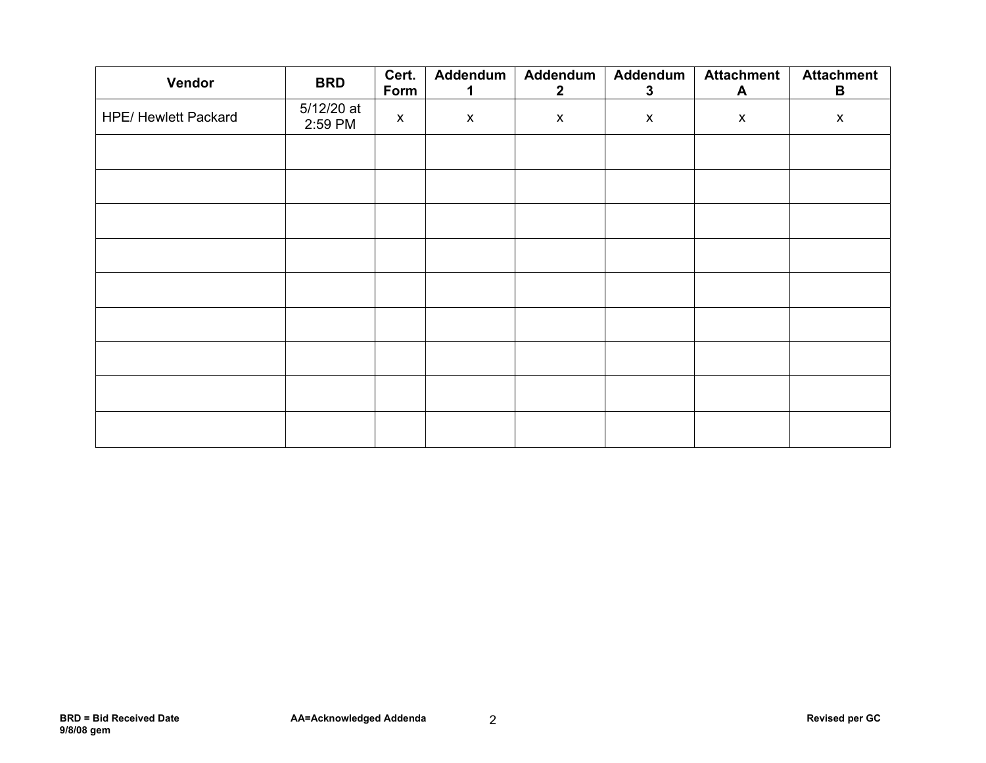| Vendor                      | <b>BRD</b>            | Cert.<br>Form      | Addendum<br>1.     | Addendum<br>$\overline{2}$ | Addendum<br>3      | <b>Attachment</b><br>A | <b>Attachment</b><br>B |
|-----------------------------|-----------------------|--------------------|--------------------|----------------------------|--------------------|------------------------|------------------------|
| <b>HPE/ Hewlett Packard</b> | 5/12/20 at<br>2:59 PM | $\pmb{\mathsf{X}}$ | $\pmb{\mathsf{X}}$ | $\pmb{\mathsf{X}}$         | $\pmb{\mathsf{X}}$ | $\pmb{\mathsf{X}}$     | $\pmb{\mathsf{X}}$     |
|                             |                       |                    |                    |                            |                    |                        |                        |
|                             |                       |                    |                    |                            |                    |                        |                        |
|                             |                       |                    |                    |                            |                    |                        |                        |
|                             |                       |                    |                    |                            |                    |                        |                        |
|                             |                       |                    |                    |                            |                    |                        |                        |
|                             |                       |                    |                    |                            |                    |                        |                        |
|                             |                       |                    |                    |                            |                    |                        |                        |
|                             |                       |                    |                    |                            |                    |                        |                        |
|                             |                       |                    |                    |                            |                    |                        |                        |